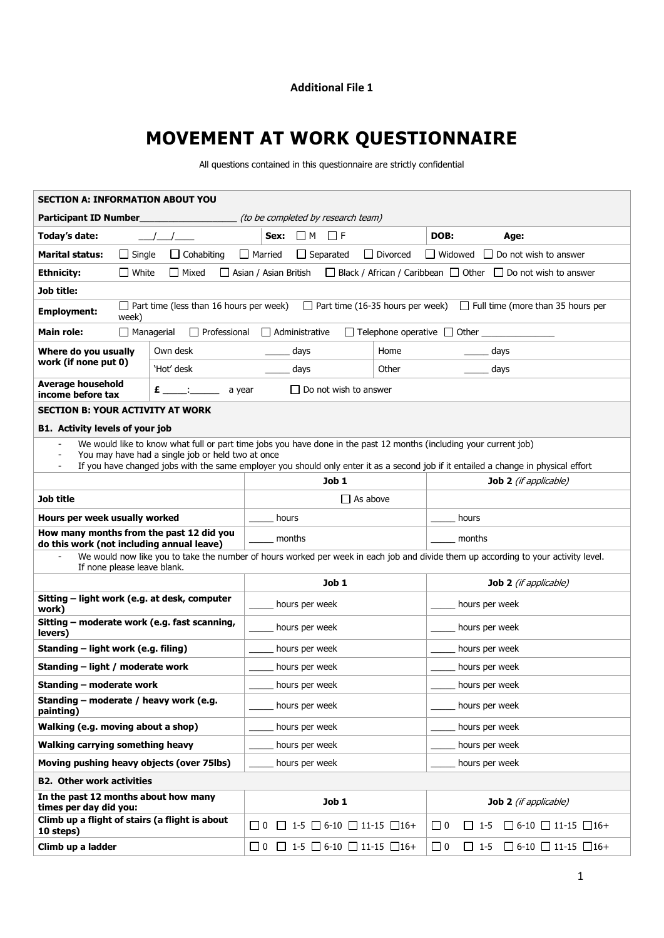## **Additional File 1**

## **MOVEMENT AT WORK QUESTIONNAIRE**

All questions contained in this questionnaire are strictly confidential

| <b>SECTION A: INFORMATION ABOUT YOU</b>                                                                                                                                 |                                     |                                                         |                                                |                 |                              |                                     |  |  |  |
|-------------------------------------------------------------------------------------------------------------------------------------------------------------------------|-------------------------------------|---------------------------------------------------------|------------------------------------------------|-----------------|------------------------------|-------------------------------------|--|--|--|
| <b>Participant ID Number</b><br>(to be completed by research team)                                                                                                      |                                     |                                                         |                                                |                 |                              |                                     |  |  |  |
| Today's date:                                                                                                                                                           |                                     | $\Box$ M<br>Sex:                                        | $\Box$ F                                       |                 | DOB:                         | Age:                                |  |  |  |
| <b>Marital status:</b><br>$\Box$ Single                                                                                                                                 | $\Box$ Married<br>$\Box$ Cohabiting | $\Box$ Separated                                        |                                                | $\Box$ Divorced | $\Box$ Widowed               | $\Box$ Do not wish to answer        |  |  |  |
| <b>Ethnicity:</b><br>$\Box$ White<br>$\Box$ Black / African / Caribbean $\Box$ Other $\Box$ Do not wish to answer<br>l Mixed<br>Asian / Asian British                   |                                     |                                                         |                                                |                 |                              |                                     |  |  |  |
| Job title:                                                                                                                                                              |                                     |                                                         |                                                |                 |                              |                                     |  |  |  |
| $\Box$ Part time (16-35 hours per week)<br>$\Box$ Part time (less than 16 hours per week)<br>$\Box$ Full time (more than 35 hours per<br><b>Employment:</b><br>week)    |                                     |                                                         |                                                |                 |                              |                                     |  |  |  |
| $\Box$ Managerial<br>$\Box$ Professional<br>$\Box$ Administrative<br>$\Box$ Telephone operative $\Box$ Other<br><b>Main role:</b>                                       |                                     |                                                         |                                                |                 |                              |                                     |  |  |  |
| Own desk<br>Where do you usually                                                                                                                                        |                                     | days                                                    |                                                | Home            |                              | days                                |  |  |  |
| work (if none put 0)<br>'Hot' desk                                                                                                                                      |                                     | days                                                    |                                                | Other           |                              | days                                |  |  |  |
| <b>Average household</b><br>income before tax                                                                                                                           | $\epsilon$ : a year                 |                                                         | $\Box$ Do not wish to answer                   |                 |                              |                                     |  |  |  |
| <b>SECTION B: YOUR ACTIVITY AT WORK</b>                                                                                                                                 |                                     |                                                         |                                                |                 |                              |                                     |  |  |  |
| <b>B1. Activity levels of your job</b>                                                                                                                                  |                                     |                                                         |                                                |                 |                              |                                     |  |  |  |
| We would like to know what full or part time jobs you have done in the past 12 months (including your current job)<br>You may have had a single job or held two at once |                                     |                                                         |                                                |                 |                              |                                     |  |  |  |
| If you have changed jobs with the same employer you should only enter it as a second job if it entailed a change in physical effort                                     |                                     |                                                         |                                                |                 |                              |                                     |  |  |  |
|                                                                                                                                                                         |                                     |                                                         | Job 1                                          |                 |                              | <b>Job 2</b> (if applicable)        |  |  |  |
| Job title                                                                                                                                                               |                                     | $\Box$ As above                                         |                                                |                 |                              |                                     |  |  |  |
| Hours per week usually worked                                                                                                                                           |                                     | hours                                                   |                                                |                 | hours                        |                                     |  |  |  |
| How many months from the past 12 did you<br>do this work (not including annual leave)                                                                                   |                                     | months                                                  |                                                |                 | months                       |                                     |  |  |  |
| We would now like you to take the number of hours worked per week in each job and divide them up according to your activity level.<br>If none please leave blank.       |                                     |                                                         |                                                |                 |                              |                                     |  |  |  |
|                                                                                                                                                                         |                                     |                                                         | Job 1                                          |                 |                              | <b>Job 2</b> (if applicable)        |  |  |  |
| Sitting - light work (e.g. at desk, computer<br>work)                                                                                                                   |                                     | hours per week                                          |                                                |                 | hours per week               |                                     |  |  |  |
| Sitting - moderate work (e.g. fast scanning,<br>levers)                                                                                                                 |                                     | hours per week                                          |                                                |                 | hours per week               |                                     |  |  |  |
| Standing – light work (e.g. filing)                                                                                                                                     |                                     | hours per week                                          |                                                |                 | hours per week               |                                     |  |  |  |
| Standing – light / moderate work                                                                                                                                        |                                     | hours per week                                          |                                                |                 | hours per week               |                                     |  |  |  |
| Standing – moderate work                                                                                                                                                |                                     | hours per week                                          |                                                |                 | hours per week               |                                     |  |  |  |
| Standing - moderate / heavy work (e.g.<br>painting)                                                                                                                     |                                     | hours per week                                          |                                                |                 | hours per week               |                                     |  |  |  |
| Walking (e.g. moving about a shop)                                                                                                                                      |                                     | hours per week                                          |                                                |                 | hours per week               |                                     |  |  |  |
| Walking carrying something heavy                                                                                                                                        |                                     | hours per week                                          |                                                |                 | hours per week               |                                     |  |  |  |
| Moving pushing heavy objects (over 75lbs)                                                                                                                               |                                     | hours per week                                          |                                                |                 | hours per week               |                                     |  |  |  |
| <b>B2. Other work activities</b>                                                                                                                                        |                                     |                                                         |                                                |                 |                              |                                     |  |  |  |
| In the past 12 months about how many<br>times per day did you:                                                                                                          |                                     |                                                         | Job 1                                          |                 | <b>Job 2</b> (if applicable) |                                     |  |  |  |
| Climb up a flight of stairs (a flight is about<br>10 steps)                                                                                                             | II 0                                |                                                         | $\Box$ 1-5 $\Box$ 6-10 $\Box$ 11-15 $\Box$ 16+ |                 | $\square$ 0<br>$\Box$ 1-5    | $\Box$ 6-10 $\Box$ 11-15 $\Box$ 16+ |  |  |  |
| Climb up a ladder                                                                                                                                                       |                                     | $\Box$ 0 $\Box$ 1-5 $\Box$ 6-10 $\Box$ 11-15 $\Box$ 16+ |                                                |                 | $\Box$ 0<br>$\Box$ 1-5       | $\Box$ 6-10 $\Box$ 11-15 $\Box$ 16+ |  |  |  |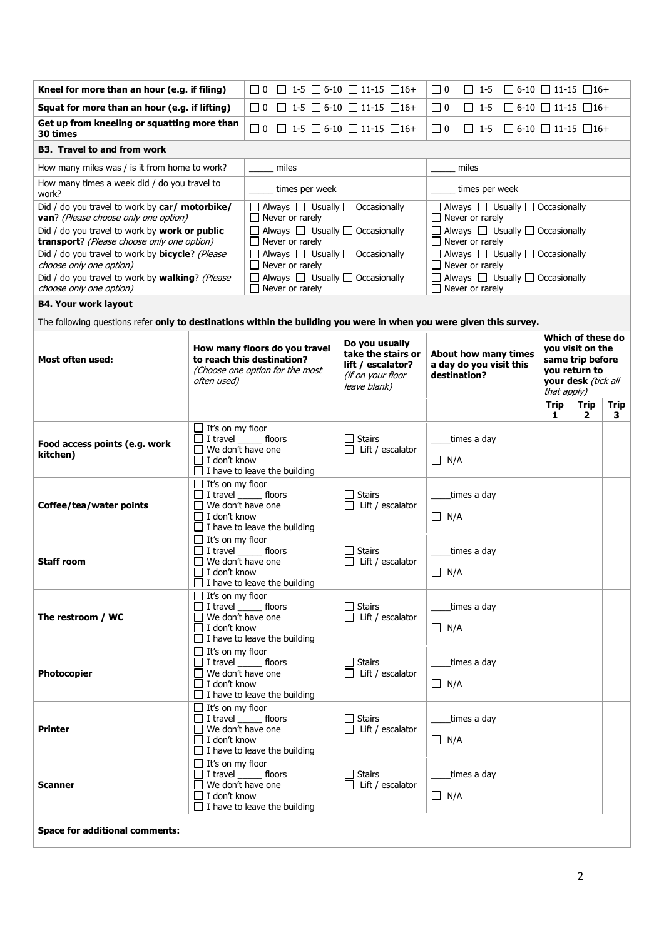| Kneel for more than an hour (e.g. if filing)                                                                        |                                                                                                               | $\Box$ 0 $\Box$ 1-5 $\Box$ 6-10 $\Box$ 11-15 $\Box$ 16+                                        |                                                                 | $\Box$ 0<br>$\Box$ 6-10 $\Box$ 11-15 $\Box$ 16+<br>$\Box$ 1-5              |                                                                                                   |                      |                   |  |  |
|---------------------------------------------------------------------------------------------------------------------|---------------------------------------------------------------------------------------------------------------|------------------------------------------------------------------------------------------------|-----------------------------------------------------------------|----------------------------------------------------------------------------|---------------------------------------------------------------------------------------------------|----------------------|-------------------|--|--|
| Squat for more than an hour (e.g. if lifting)                                                                       | $\Box$ 0 $\Box$ 1-5 $\Box$ 6-10 $\Box$ 11-15 $\Box$ 16+                                                       |                                                                                                | $\Box$ 0<br>$\Box$ 6-10 $\Box$ 11-15 $\Box$ 16+<br>$\Box$ 1-5   |                                                                            |                                                                                                   |                      |                   |  |  |
| Get up from kneeling or squatting more than<br>30 times                                                             | $\Box$ 0 $\Box$ 1-5 $\Box$ 6-10 $\Box$ 11-15 $\Box$ 16+                                                       |                                                                                                | $\Box$ 0<br>$\Box$ 1-5 $\Box$ 6-10 $\Box$ 11-15 $\Box$ 16+      |                                                                            |                                                                                                   |                      |                   |  |  |
| <b>B3. Travel to and from work</b>                                                                                  |                                                                                                               |                                                                                                |                                                                 |                                                                            |                                                                                                   |                      |                   |  |  |
| How many miles was / is it from home to work?                                                                       | miles                                                                                                         |                                                                                                | miles                                                           |                                                                            |                                                                                                   |                      |                   |  |  |
| How many times a week did / do you travel to<br>work?                                                               |                                                                                                               | times per week                                                                                 |                                                                 | times per week                                                             |                                                                                                   |                      |                   |  |  |
| Did / do you travel to work by car/ motorbike/<br>van? (Please choose only one option)                              |                                                                                                               | $\Box$ Always $\Box$ Usually $\Box$ Occasionally<br>$\Box$ Never or rarely                     |                                                                 | $\Box$ Always $\Box$ Usually $\Box$ Occasionally<br>$\Box$ Never or rarely |                                                                                                   |                      |                   |  |  |
| Did / do you travel to work by work or public<br>transport? (Please choose only one option)                         |                                                                                                               | □ Always □ Usually □ Occasionally<br>$\Box$ Never or rarely                                    |                                                                 | $\Box$ Always $\Box$ Usually $\Box$ Occasionally<br>$\Box$ Never or rarely |                                                                                                   |                      |                   |  |  |
| Did / do you travel to work by <b>bicycle</b> ? (Please<br>choose only one option)                                  |                                                                                                               | $\Box$ Always $\Box$ Usually $\Box$ Occasionally<br>$\Box$ Never or rarely                     |                                                                 | $\Box$ Always $\Box$ Usually $\Box$ Occasionally<br>$\Box$ Never or rarely |                                                                                                   |                      |                   |  |  |
| Did / do you travel to work by walking? (Please<br>choose only one option)                                          |                                                                                                               | $\Box$ Always $\Box$ Usually $\Box$ Occasionally<br>Never or rarely                            |                                                                 | $\Box$ Always $\Box$ Usually $\Box$ Occasionally<br>$\Box$ Never or rarely |                                                                                                   |                      |                   |  |  |
| <b>B4. Your work layout</b>                                                                                         |                                                                                                               |                                                                                                |                                                                 |                                                                            |                                                                                                   |                      |                   |  |  |
| The following questions refer only to destinations within the building you were in when you were given this survey. |                                                                                                               |                                                                                                |                                                                 |                                                                            |                                                                                                   |                      |                   |  |  |
| <b>Most often used:</b>                                                                                             | How many floors do you travel<br>to reach this destination?<br>(Choose one option for the most                | Do you usually<br>take the stairs or<br>lift / escalator?<br>(if on your floor<br>leave blank) | About how many times<br>a day do you visit this<br>destination? | that apply)                                                                | Which of these do<br>you visit on the<br>same trip before<br>vou return to<br>your desk (tick all |                      |                   |  |  |
|                                                                                                                     |                                                                                                               |                                                                                                |                                                                 |                                                                            | <b>Trip</b><br>1                                                                                  | Trip<br>$\mathbf{2}$ | <b>Trip</b><br>З. |  |  |
| Food access points (e.g. work<br>kitchen)                                                                           | $\Box$ It's on my floor<br>$\Box$ I travel ________ floors<br>We don't have one<br>$\Box$ I don't know        | $\Box$ I have to leave the building                                                            | □ Stairs<br>$\Box$ Lift / escalator                             | times a day<br>$\Box$ N/A                                                  |                                                                                                   |                      |                   |  |  |
| Coffee/tea/water points                                                                                             | $\Box$ It's on my floor<br>$\Box$ I travel ________ floors<br>$\Box$ I don't know                             | We don't have one<br>$\Box$ I have to leave the building                                       | $\Box$ Stairs<br>Lift / escalator                               | times a day<br>$\Box$ N/A                                                  |                                                                                                   |                      |                   |  |  |
| <b>Staff room</b>                                                                                                   | $\Box$ It's on my floor<br>We don't have one<br>$\Box$ I don't know                                           | I travel floors<br>$\Box$ I have to leave the building                                         | <b>Stairs</b><br>Lift / escalator                               | times a day<br>$\Box$ N/A                                                  |                                                                                                   |                      |                   |  |  |
| The restroom / WC                                                                                                   | $\Box$ It's on my floor<br>$\Box$ I travel _______ floors<br>$\Box$ We don't have one<br>$\Box$ I don't know  | $\Box$ I have to leave the building                                                            | $\Box$ Stairs<br>$\Box$ Lift / escalator                        | times a day<br>$\Box$ N/A                                                  |                                                                                                   |                      |                   |  |  |
| Photocopier                                                                                                         | $\Box$ It's on my floor<br>$\Box$ I travel ________ floors<br>$\Box$ We don't have one<br>$\Box$ I don't know | $\Box$ I have to leave the building                                                            | $\Box$ Stairs<br>$\Box$ Lift / escalator                        | times a day<br>$\Box$ N/A                                                  |                                                                                                   |                      |                   |  |  |
| <b>Printer</b>                                                                                                      | $\Box$ It's on my floor<br>$\Box$ I travel _______ floors<br>$\Box$ We don't have one<br>$\prod$ I don't know | $\Box$ I have to leave the building                                                            | $\Box$ Stairs<br>$\Box$ Lift / escalator                        | times a day<br>$\Box$ N/A                                                  |                                                                                                   |                      |                   |  |  |
| <b>Scanner</b>                                                                                                      | $\Box$ It's on my floor<br>$\Box$ I travel _______ floors<br>$\Box$ We don't have one<br>□ I don't know       | $\Box$ I have to leave the building                                                            | $\Box$ Stairs<br>Lift / escalator                               | times a day<br>$\Box$ N/A                                                  |                                                                                                   |                      |                   |  |  |
| <b>Space for additional comments:</b>                                                                               |                                                                                                               |                                                                                                |                                                                 |                                                                            |                                                                                                   |                      |                   |  |  |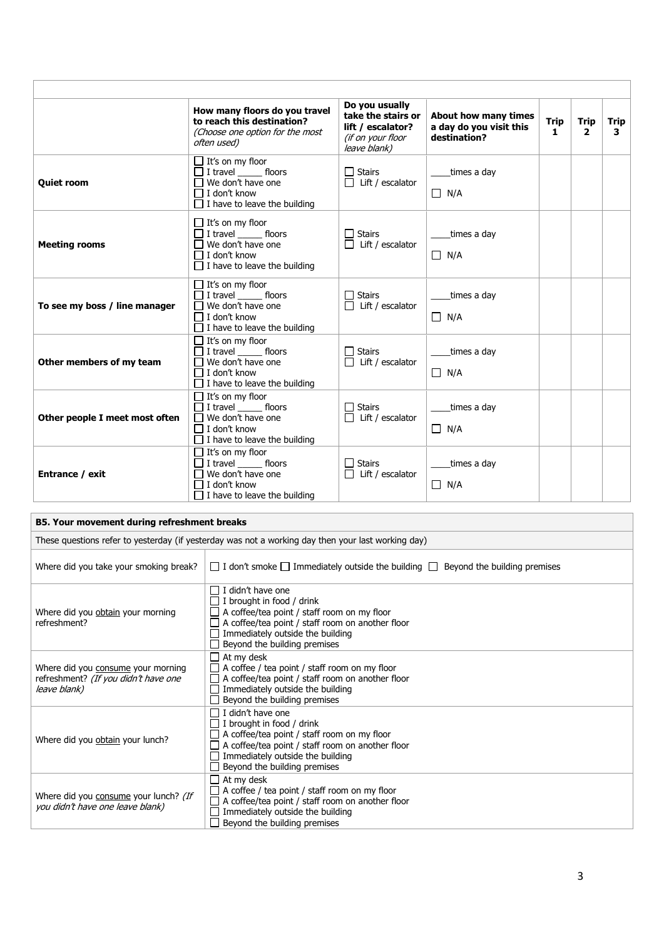|                                | How many floors do you travel<br>to reach this destination?<br>(Choose one option for the most<br>often used)                                        | Do you usually<br>take the stairs or<br>lift / escalator?<br>(if on your floor<br>leave blank) | About how many times<br>a day do you visit this<br>destination? | <b>Trip</b><br>$\mathbf{1}$ | Trip<br>$\overline{2}$ | Trip<br>3 |
|--------------------------------|------------------------------------------------------------------------------------------------------------------------------------------------------|------------------------------------------------------------------------------------------------|-----------------------------------------------------------------|-----------------------------|------------------------|-----------|
| <b>Quiet room</b>              | $\Box$ It's on my floor<br>$\Box$ I travel ________ floors<br>$\Box$ We don't have one<br>$\Box$ I don't know<br>$\Box$ I have to leave the building | $\Box$ Stairs<br>$\Box$ Lift / escalator                                                       | times a day<br>$\Box$ N/A                                       |                             |                        |           |
| <b>Meeting rooms</b>           | $\Box$ It's on my floor<br>$\Box$ I travel ________ floors<br>$\Box$ We don't have one<br>$\Box$ I don't know<br>$\Box$ I have to leave the building | $\Box$ Stairs<br>$\Box$ Lift / escalator                                                       | _times a day<br>$\Box$ N/A                                      |                             |                        |           |
| To see my boss / line manager  | $\Box$ It's on my floor<br>$\Box$ I travel floors<br>$\Box$ We don't have one<br>$\Box$ I don't know<br>$\Box$ I have to leave the building          | $\Box$ Stairs<br>$\Box$ Lift / escalator                                                       | times a day<br>$\Box$ N/A                                       |                             |                        |           |
| Other members of my team       | $\Box$ It's on my floor<br>$\Box$ I travel floors<br>$\Box$ We don't have one<br>$\Box$ I don't know<br>$\Box$ I have to leave the building          | $\Box$ Stairs<br>$\Box$ Lift / escalator                                                       | _times a day<br>$\Box$ N/A                                      |                             |                        |           |
| Other people I meet most often | $\Box$ It's on my floor<br>$\Box$ I travel floors<br>$\Box$ We don't have one<br>$\Box$ I don't know<br>$\Box$ I have to leave the building          | $\Box$ Stairs<br>$\Box$ Lift / escalator                                                       | times a day<br>$\Box$ N/A                                       |                             |                        |           |
| Entrance / exit                | $\Box$ It's on my floor<br>$\Box$ I travel floors<br>$\Box$ We don't have one<br>$\Box$ I don't know<br>$\Box$ I have to leave the building          | $\Box$ Stairs<br>$\Box$ Lift / escalator                                                       | times a day<br>$\Box$ N/A                                       |                             |                        |           |

## **B5. Your movement during refreshment breaks**

| These questions refer to yesterday (if yesterday was not a working day then your last working day) |                                                                                                                                                                                                                                                                 |  |  |  |  |  |  |
|----------------------------------------------------------------------------------------------------|-----------------------------------------------------------------------------------------------------------------------------------------------------------------------------------------------------------------------------------------------------------------|--|--|--|--|--|--|
| Where did you take your smoking break?                                                             | $\Box$ I don't smoke $\Box$ Immediately outside the building $\Box$ Beyond the building premises                                                                                                                                                                |  |  |  |  |  |  |
| Where did you obtain your morning<br>refreshment?                                                  | $\Box$ I didn't have one<br>$\Box$ I brought in food / drink<br>$\Box$ A coffee/tea point / staff room on my floor<br>$\Box$ A coffee/tea point / staff room on another floor<br>$\Box$ Immediately outside the building<br>$\Box$ Beyond the building premises |  |  |  |  |  |  |
| Where did you consume your morning<br>refreshment? (If you didn't have one<br>leave blank)         | $\Box$ At my desk<br>$\Box$ A coffee / tea point / staff room on my floor<br>$\Box$ A coffee/tea point / staff room on another floor<br>$\Box$ Immediately outside the building<br>$\Box$ Beyond the building premises                                          |  |  |  |  |  |  |
| Where did you obtain your lunch?                                                                   | $\Box$ I didn't have one<br>$\Box$ I brought in food / drink<br>$\Box$ A coffee/tea point / staff room on my floor<br>$\Box$ A coffee/tea point / staff room on another floor<br>$\Box$ Immediately outside the building<br>$\Box$ Beyond the building premises |  |  |  |  |  |  |
| Where did you consume your lunch? (If<br>you didn't have one leave blank)                          | $\Box$ At my desk<br>$\Box$ A coffee / tea point / staff room on my floor<br>$\Box$ A coffee/tea point / staff room on another floor<br>$\Box$ Immediately outside the building<br>$\Box$ Beyond the building premises                                          |  |  |  |  |  |  |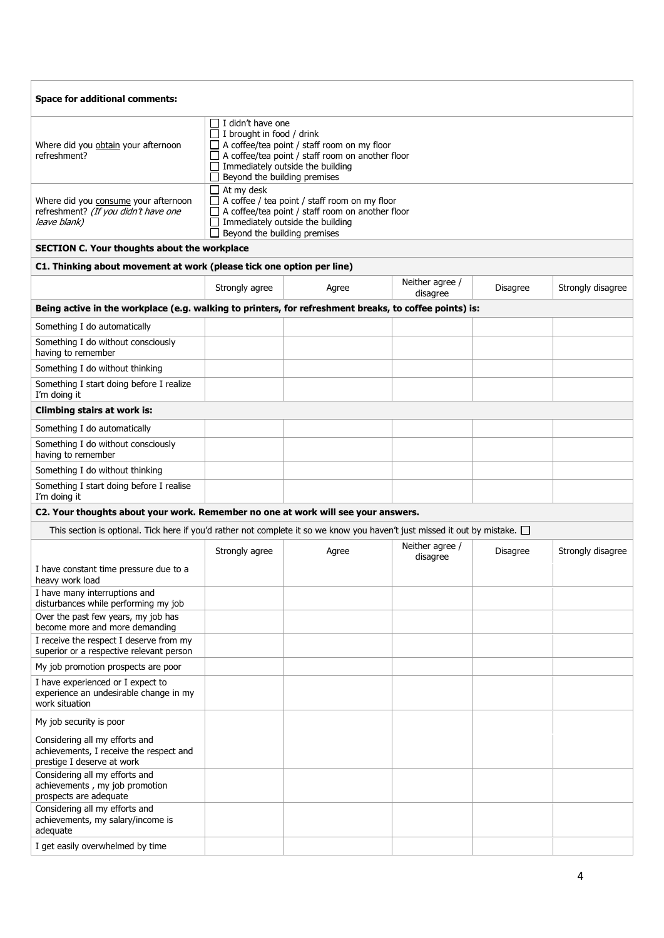| <b>Space for additional comments:</b>                                                                                            |                                                                                                                                                                                                                                     |       |                             |          |                   |  |  |  |  |
|----------------------------------------------------------------------------------------------------------------------------------|-------------------------------------------------------------------------------------------------------------------------------------------------------------------------------------------------------------------------------------|-------|-----------------------------|----------|-------------------|--|--|--|--|
| Where did you obtain your afternoon<br>refreshment?                                                                              | $\Box$ I didn't have one<br>$\Box$ I brought in food / drink<br>A coffee/tea point / staff room on my floor<br>A coffee/tea point / staff room on another floor<br>Immediately outside the building<br>Beyond the building premises |       |                             |          |                   |  |  |  |  |
| Where did you consume your afternoon<br>refreshment? (If you didn't have one<br>leave blank)                                     | $\Box$ At my desk<br>$\Box$ A coffee / tea point / staff room on my floor<br>A coffee/tea point / staff room on another floor<br>Immediately outside the building<br>Beyond the building premises                                   |       |                             |          |                   |  |  |  |  |
| SECTION C. Your thoughts about the workplace                                                                                     |                                                                                                                                                                                                                                     |       |                             |          |                   |  |  |  |  |
| C1. Thinking about movement at work (please tick one option per line)                                                            |                                                                                                                                                                                                                                     |       |                             |          |                   |  |  |  |  |
|                                                                                                                                  | Strongly agree                                                                                                                                                                                                                      | Agree | Neither agree /<br>disagree | Disagree | Strongly disagree |  |  |  |  |
| Being active in the workplace (e.g. walking to printers, for refreshment breaks, to coffee points) is:                           |                                                                                                                                                                                                                                     |       |                             |          |                   |  |  |  |  |
| Something I do automatically                                                                                                     |                                                                                                                                                                                                                                     |       |                             |          |                   |  |  |  |  |
| Something I do without consciously<br>having to remember                                                                         |                                                                                                                                                                                                                                     |       |                             |          |                   |  |  |  |  |
| Something I do without thinking                                                                                                  |                                                                                                                                                                                                                                     |       |                             |          |                   |  |  |  |  |
| Something I start doing before I realize<br>I'm doing it                                                                         |                                                                                                                                                                                                                                     |       |                             |          |                   |  |  |  |  |
| <b>Climbing stairs at work is:</b>                                                                                               |                                                                                                                                                                                                                                     |       |                             |          |                   |  |  |  |  |
| Something I do automatically                                                                                                     |                                                                                                                                                                                                                                     |       |                             |          |                   |  |  |  |  |
| Something I do without consciously<br>having to remember                                                                         |                                                                                                                                                                                                                                     |       |                             |          |                   |  |  |  |  |
| Something I do without thinking                                                                                                  |                                                                                                                                                                                                                                     |       |                             |          |                   |  |  |  |  |
| Something I start doing before I realise<br>I'm doing it                                                                         |                                                                                                                                                                                                                                     |       |                             |          |                   |  |  |  |  |
| C2. Your thoughts about your work. Remember no one at work will see your answers.                                                |                                                                                                                                                                                                                                     |       |                             |          |                   |  |  |  |  |
| This section is optional. Tick here if you'd rather not complete it so we know you haven't just missed it out by mistake. $\Box$ |                                                                                                                                                                                                                                     |       |                             |          |                   |  |  |  |  |
|                                                                                                                                  | Strongly agree                                                                                                                                                                                                                      | Agree | Neither agree /<br>disagree | Disagree | Strongly disagree |  |  |  |  |
| I have constant time pressure due to a<br>heavy work load                                                                        |                                                                                                                                                                                                                                     |       |                             |          |                   |  |  |  |  |
| I have many interruptions and<br>disturbances while performing my job                                                            |                                                                                                                                                                                                                                     |       |                             |          |                   |  |  |  |  |
| Over the past few years, my job has<br>become more and more demanding                                                            |                                                                                                                                                                                                                                     |       |                             |          |                   |  |  |  |  |
| I receive the respect I deserve from my<br>superior or a respective relevant person                                              |                                                                                                                                                                                                                                     |       |                             |          |                   |  |  |  |  |
| My job promotion prospects are poor                                                                                              |                                                                                                                                                                                                                                     |       |                             |          |                   |  |  |  |  |
| I have experienced or I expect to<br>experience an undesirable change in my<br>work situation                                    |                                                                                                                                                                                                                                     |       |                             |          |                   |  |  |  |  |
| My job security is poor                                                                                                          |                                                                                                                                                                                                                                     |       |                             |          |                   |  |  |  |  |
| Considering all my efforts and<br>achievements, I receive the respect and<br>prestige I deserve at work                          |                                                                                                                                                                                                                                     |       |                             |          |                   |  |  |  |  |
| Considering all my efforts and<br>achievements, my job promotion<br>prospects are adequate                                       |                                                                                                                                                                                                                                     |       |                             |          |                   |  |  |  |  |
| Considering all my efforts and<br>achievements, my salary/income is<br>adequate                                                  |                                                                                                                                                                                                                                     |       |                             |          |                   |  |  |  |  |
| I get easily overwhelmed by time                                                                                                 |                                                                                                                                                                                                                                     |       |                             |          |                   |  |  |  |  |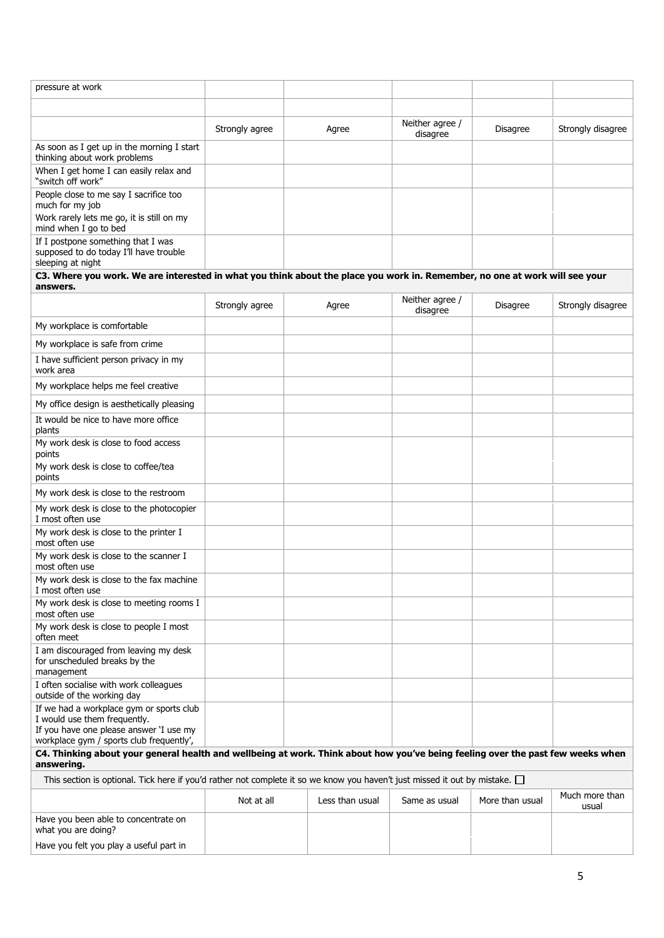| pressure at work                                                                                                                                                |                |  |                 |                             |                 |                   |  |  |  |  |
|-----------------------------------------------------------------------------------------------------------------------------------------------------------------|----------------|--|-----------------|-----------------------------|-----------------|-------------------|--|--|--|--|
|                                                                                                                                                                 |                |  |                 |                             |                 |                   |  |  |  |  |
|                                                                                                                                                                 | Strongly agree |  | Agree           | Neither agree /<br>disagree | <b>Disagree</b> | Strongly disagree |  |  |  |  |
| As soon as I get up in the morning I start<br>thinking about work problems                                                                                      |                |  |                 |                             |                 |                   |  |  |  |  |
| When I get home I can easily relax and<br>"switch off work"                                                                                                     |                |  |                 |                             |                 |                   |  |  |  |  |
| People close to me say I sacrifice too<br>much for my job                                                                                                       |                |  |                 |                             |                 |                   |  |  |  |  |
| Work rarely lets me go, it is still on my<br>mind when I go to bed                                                                                              |                |  |                 |                             |                 |                   |  |  |  |  |
| If I postpone something that I was<br>supposed to do today I'll have trouble<br>sleeping at night                                                               |                |  |                 |                             |                 |                   |  |  |  |  |
| C3. Where you work. We are interested in what you think about the place you work in. Remember, no one at work will see your<br>answers.                         |                |  |                 |                             |                 |                   |  |  |  |  |
|                                                                                                                                                                 | Strongly agree |  | Agree           | Neither agree /<br>disagree | Disagree        | Strongly disagree |  |  |  |  |
| My workplace is comfortable                                                                                                                                     |                |  |                 |                             |                 |                   |  |  |  |  |
| My workplace is safe from crime                                                                                                                                 |                |  |                 |                             |                 |                   |  |  |  |  |
| I have sufficient person privacy in my<br>work area                                                                                                             |                |  |                 |                             |                 |                   |  |  |  |  |
| My workplace helps me feel creative                                                                                                                             |                |  |                 |                             |                 |                   |  |  |  |  |
| My office design is aesthetically pleasing                                                                                                                      |                |  |                 |                             |                 |                   |  |  |  |  |
| It would be nice to have more office<br>plants                                                                                                                  |                |  |                 |                             |                 |                   |  |  |  |  |
| My work desk is close to food access<br>points                                                                                                                  |                |  |                 |                             |                 |                   |  |  |  |  |
| My work desk is close to coffee/tea<br>points                                                                                                                   |                |  |                 |                             |                 |                   |  |  |  |  |
| My work desk is close to the restroom                                                                                                                           |                |  |                 |                             |                 |                   |  |  |  |  |
| My work desk is close to the photocopier<br>I most often use                                                                                                    |                |  |                 |                             |                 |                   |  |  |  |  |
| My work desk is close to the printer I<br>most often use                                                                                                        |                |  |                 |                             |                 |                   |  |  |  |  |
| My work desk is close to the scanner I<br>most often use                                                                                                        |                |  |                 |                             |                 |                   |  |  |  |  |
| My work desk is close to the fax machine<br>I most often use                                                                                                    |                |  |                 |                             |                 |                   |  |  |  |  |
| My work desk is close to meeting rooms I<br>most often use                                                                                                      |                |  |                 |                             |                 |                   |  |  |  |  |
| My work desk is close to people I most<br>often meet                                                                                                            |                |  |                 |                             |                 |                   |  |  |  |  |
| I am discouraged from leaving my desk<br>for unscheduled breaks by the<br>management                                                                            |                |  |                 |                             |                 |                   |  |  |  |  |
| I often socialise with work colleagues<br>outside of the working day                                                                                            |                |  |                 |                             |                 |                   |  |  |  |  |
| If we had a workplace gym or sports club<br>I would use them frequently.<br>If you have one please answer 'I use my<br>workplace gym / sports club frequently', |                |  |                 |                             |                 |                   |  |  |  |  |
| C4. Thinking about your general health and wellbeing at work. Think about how you've being feeling over the past few weeks when                                 |                |  |                 |                             |                 |                   |  |  |  |  |
| answering.                                                                                                                                                      |                |  |                 |                             |                 |                   |  |  |  |  |
| This section is optional. Tick here if you'd rather not complete it so we know you haven't just missed it out by mistake. $\Box$                                |                |  |                 |                             |                 | Much more than    |  |  |  |  |
|                                                                                                                                                                 | Not at all     |  | Less than usual | Same as usual               | More than usual | usual             |  |  |  |  |
| Have you been able to concentrate on<br>what you are doing?                                                                                                     |                |  |                 |                             |                 |                   |  |  |  |  |
| Have you felt you play a useful part in                                                                                                                         |                |  |                 |                             |                 |                   |  |  |  |  |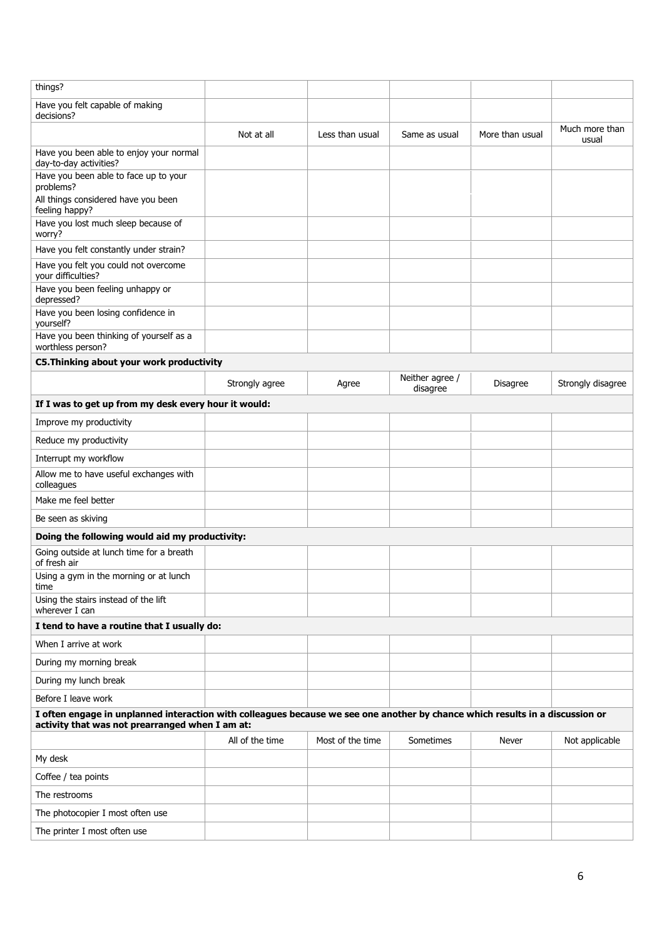| things?                                                                                                                                                                          |                 |                  |                             |                 |                         |
|----------------------------------------------------------------------------------------------------------------------------------------------------------------------------------|-----------------|------------------|-----------------------------|-----------------|-------------------------|
| Have you felt capable of making<br>decisions?                                                                                                                                    |                 |                  |                             |                 |                         |
|                                                                                                                                                                                  | Not at all      | Less than usual  | Same as usual               | More than usual | Much more than<br>usual |
| Have you been able to enjoy your normal<br>day-to-day activities?                                                                                                                |                 |                  |                             |                 |                         |
| Have you been able to face up to your<br>problems?                                                                                                                               |                 |                  |                             |                 |                         |
| All things considered have you been<br>feeling happy?                                                                                                                            |                 |                  |                             |                 |                         |
| Have you lost much sleep because of<br>worry?                                                                                                                                    |                 |                  |                             |                 |                         |
| Have you felt constantly under strain?                                                                                                                                           |                 |                  |                             |                 |                         |
| Have you felt you could not overcome<br>your difficulties?                                                                                                                       |                 |                  |                             |                 |                         |
| Have you been feeling unhappy or<br>depressed?                                                                                                                                   |                 |                  |                             |                 |                         |
| Have you been losing confidence in<br>yourself?                                                                                                                                  |                 |                  |                             |                 |                         |
| Have you been thinking of yourself as a<br>worthless person?                                                                                                                     |                 |                  |                             |                 |                         |
| C5. Thinking about your work productivity                                                                                                                                        |                 |                  |                             |                 |                         |
|                                                                                                                                                                                  | Strongly agree  | Agree            | Neither agree /<br>disagree | Disagree        | Strongly disagree       |
| If I was to get up from my desk every hour it would:                                                                                                                             |                 |                  |                             |                 |                         |
| Improve my productivity                                                                                                                                                          |                 |                  |                             |                 |                         |
| Reduce my productivity                                                                                                                                                           |                 |                  |                             |                 |                         |
| Interrupt my workflow                                                                                                                                                            |                 |                  |                             |                 |                         |
| Allow me to have useful exchanges with<br>colleagues                                                                                                                             |                 |                  |                             |                 |                         |
| Make me feel better                                                                                                                                                              |                 |                  |                             |                 |                         |
| Be seen as skiving                                                                                                                                                               |                 |                  |                             |                 |                         |
| Doing the following would aid my productivity:                                                                                                                                   |                 |                  |                             |                 |                         |
| Going outside at lunch time for a breath<br>of fresh air                                                                                                                         |                 |                  |                             |                 |                         |
| Using a gym in the morning or at lunch<br>time                                                                                                                                   |                 |                  |                             |                 |                         |
| Using the stairs instead of the lift<br>wherever I can                                                                                                                           |                 |                  |                             |                 |                         |
| I tend to have a routine that I usually do:                                                                                                                                      |                 |                  |                             |                 |                         |
| When I arrive at work                                                                                                                                                            |                 |                  |                             |                 |                         |
| During my morning break                                                                                                                                                          |                 |                  |                             |                 |                         |
| During my lunch break                                                                                                                                                            |                 |                  |                             |                 |                         |
| Before I leave work                                                                                                                                                              |                 |                  |                             |                 |                         |
| I often engage in unplanned interaction with colleagues because we see one another by chance which results in a discussion or<br>activity that was not prearranged when I am at: |                 |                  |                             |                 |                         |
|                                                                                                                                                                                  | All of the time | Most of the time | Sometimes                   | Never           | Not applicable          |
| My desk                                                                                                                                                                          |                 |                  |                             |                 |                         |
| Coffee / tea points                                                                                                                                                              |                 |                  |                             |                 |                         |
| The restrooms                                                                                                                                                                    |                 |                  |                             |                 |                         |
| The photocopier I most often use                                                                                                                                                 |                 |                  |                             |                 |                         |
| The printer I most often use                                                                                                                                                     |                 |                  |                             |                 |                         |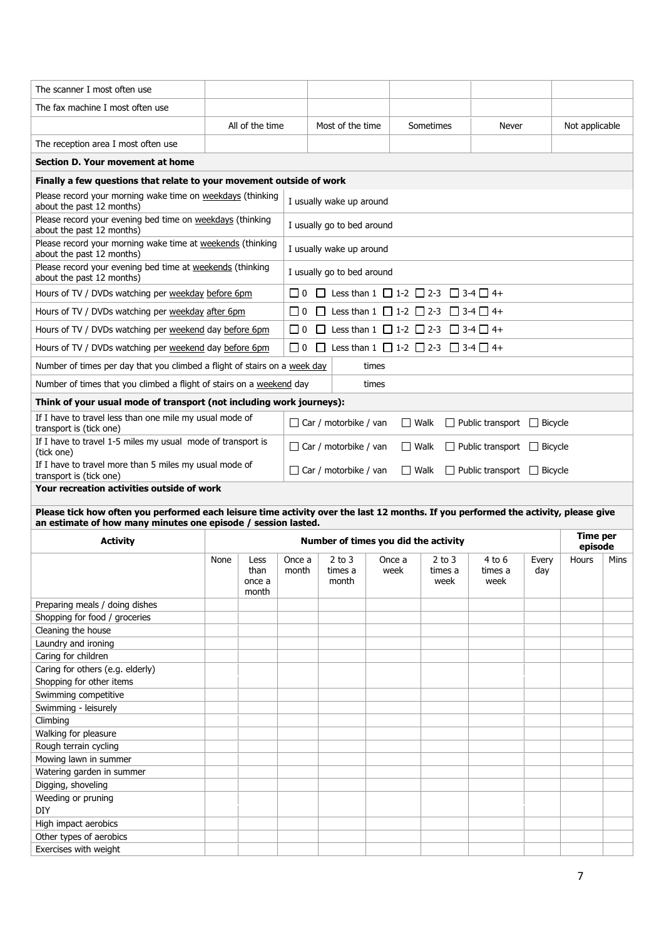| The scanner I most often use                                                                                                                                                                        |      |                                 |                                                                                       |                                                                               |                            |             |                                                                     |                                        |              |                            |      |  |  |  |
|-----------------------------------------------------------------------------------------------------------------------------------------------------------------------------------------------------|------|---------------------------------|---------------------------------------------------------------------------------------|-------------------------------------------------------------------------------|----------------------------|-------------|---------------------------------------------------------------------|----------------------------------------|--------------|----------------------------|------|--|--|--|
| The fax machine I most often use                                                                                                                                                                    |      |                                 |                                                                                       |                                                                               |                            |             |                                                                     |                                        |              |                            |      |  |  |  |
|                                                                                                                                                                                                     |      | All of the time                 |                                                                                       | Most of the time                                                              |                            |             | Sometimes                                                           | Never                                  |              | Not applicable             |      |  |  |  |
| The reception area I most often use                                                                                                                                                                 |      |                                 |                                                                                       |                                                                               |                            |             |                                                                     |                                        |              |                            |      |  |  |  |
| Section D. Your movement at home                                                                                                                                                                    |      |                                 |                                                                                       |                                                                               |                            |             |                                                                     |                                        |              |                            |      |  |  |  |
| Finally a few questions that relate to your movement outside of work                                                                                                                                |      |                                 |                                                                                       |                                                                               |                            |             |                                                                     |                                        |              |                            |      |  |  |  |
| Please record your morning wake time on weekdays (thinking<br>about the past 12 months)                                                                                                             |      |                                 |                                                                                       | I usually wake up around                                                      |                            |             |                                                                     |                                        |              |                            |      |  |  |  |
| Please record your evening bed time on weekdays (thinking<br>about the past 12 months)                                                                                                              |      |                                 |                                                                                       |                                                                               | I usually go to bed around |             |                                                                     |                                        |              |                            |      |  |  |  |
| Please record your morning wake time at weekends (thinking<br>about the past 12 months)                                                                                                             |      |                                 | I usually wake up around                                                              |                                                                               |                            |             |                                                                     |                                        |              |                            |      |  |  |  |
| Please record your evening bed time at weekends (thinking<br>about the past 12 months)                                                                                                              |      |                                 |                                                                                       | I usually go to bed around                                                    |                            |             |                                                                     |                                        |              |                            |      |  |  |  |
| Hours of TV / DVDs watching per weekday before 6pm                                                                                                                                                  |      |                                 | $\Box$ 0                                                                              | □ Less than 1 □ 1-2 □ 2-3 □ 3-4 □ 4+                                          |                            |             |                                                                     |                                        |              |                            |      |  |  |  |
| Hours of TV / DVDs watching per weekday after 6pm                                                                                                                                                   |      |                                 | $\Box$ 0                                                                              | $\Box$                                                                        |                            |             | Less than $1 \square 1$ -2 $\square$ 2-3 $\square$ 3-4 $\square$ 4+ |                                        |              |                            |      |  |  |  |
| Hours of TV / DVDs watching per weekend day before 6pm                                                                                                                                              |      |                                 | $\Box$ 0                                                                              | Less than $1 \square 1$ -2 $\square$ 2-3 $\square$ 3-4 $\square$ 4+<br>$\Box$ |                            |             |                                                                     |                                        |              |                            |      |  |  |  |
| Hours of TV / DVDs watching per weekend day before 6pm                                                                                                                                              |      |                                 | $\Box$ 0                                                                              | Less than $1 \Box 1$ -2 $\Box 2$ -3 $\Box 3$ -4 $\Box 4$ +<br>$\Box$          |                            |             |                                                                     |                                        |              |                            |      |  |  |  |
| Number of times per day that you climbed a flight of stairs on a week day                                                                                                                           |      |                                 |                                                                                       |                                                                               | times                      |             |                                                                     |                                        |              |                            |      |  |  |  |
| Number of times that you climbed a flight of stairs on a weekend day                                                                                                                                |      |                                 |                                                                                       |                                                                               | times                      |             |                                                                     |                                        |              |                            |      |  |  |  |
| Think of your usual mode of transport (not including work journeys):                                                                                                                                |      |                                 |                                                                                       |                                                                               |                            |             |                                                                     |                                        |              |                            |      |  |  |  |
| If I have to travel less than one mile my usual mode of<br>transport is (tick one)                                                                                                                  |      |                                 | $\Box$ Car / motorbike / van<br>$\Box$ Walk<br>$\Box$ Public transport $\Box$ Bicycle |                                                                               |                            |             |                                                                     |                                        |              |                            |      |  |  |  |
| If I have to travel 1-5 miles my usual mode of transport is<br>(tick one)                                                                                                                           |      |                                 | $\Box$ Car / motorbike / van<br>$\Box$ Walk<br>$\Box$ Public transport $\Box$ Bicycle |                                                                               |                            |             |                                                                     |                                        |              |                            |      |  |  |  |
| If I have to travel more than 5 miles my usual mode of                                                                                                                                              |      |                                 |                                                                                       | $\Box$ Car / motorbike / van                                                  |                            | $\Box$ Walk |                                                                     | $\Box$ Public transport $\Box$ Bicycle |              |                            |      |  |  |  |
| transport is (tick one)                                                                                                                                                                             |      |                                 |                                                                                       |                                                                               |                            |             |                                                                     |                                        |              |                            |      |  |  |  |
| Your recreation activities outside of work                                                                                                                                                          |      |                                 |                                                                                       |                                                                               |                            |             |                                                                     |                                        |              |                            |      |  |  |  |
|                                                                                                                                                                                                     |      |                                 |                                                                                       |                                                                               |                            |             |                                                                     |                                        |              |                            |      |  |  |  |
| Please tick how often you performed each leisure time activity over the last 12 months. If you performed the activity, please give<br>an estimate of how many minutes one episode / session lasted. |      |                                 |                                                                                       |                                                                               |                            |             |                                                                     |                                        |              |                            |      |  |  |  |
| <b>Activity</b>                                                                                                                                                                                     |      |                                 |                                                                                       | Number of times you did the activity                                          |                            |             |                                                                     |                                        |              | <b>Time per</b><br>episode |      |  |  |  |
|                                                                                                                                                                                                     | None | Less<br>than<br>once a<br>month | Once a<br>month                                                                       | $2$ to $3$<br>times a<br>month                                                | Once a<br>week             |             | $2$ to $3$<br>times a<br>week                                       | 4 to 6<br>times a<br>week              | Every<br>day | Hours                      | Mins |  |  |  |
| Preparing meals / doing dishes                                                                                                                                                                      |      |                                 |                                                                                       |                                                                               |                            |             |                                                                     |                                        |              |                            |      |  |  |  |
| Shopping for food / groceries                                                                                                                                                                       |      |                                 |                                                                                       |                                                                               |                            |             |                                                                     |                                        |              |                            |      |  |  |  |
| Cleaning the house<br>Laundry and ironing                                                                                                                                                           |      |                                 |                                                                                       |                                                                               |                            |             |                                                                     |                                        |              |                            |      |  |  |  |
| Caring for children                                                                                                                                                                                 |      |                                 |                                                                                       |                                                                               |                            |             |                                                                     |                                        |              |                            |      |  |  |  |
| Caring for others (e.g. elderly)                                                                                                                                                                    |      |                                 |                                                                                       |                                                                               |                            |             |                                                                     |                                        |              |                            |      |  |  |  |
| Shopping for other items                                                                                                                                                                            |      |                                 |                                                                                       |                                                                               |                            |             |                                                                     |                                        |              |                            |      |  |  |  |
| Swimming competitive                                                                                                                                                                                |      |                                 |                                                                                       |                                                                               |                            |             |                                                                     |                                        |              |                            |      |  |  |  |
| Swimming - leisurely                                                                                                                                                                                |      |                                 |                                                                                       |                                                                               |                            |             |                                                                     |                                        |              |                            |      |  |  |  |
| Climbing<br>Walking for pleasure                                                                                                                                                                    |      |                                 |                                                                                       |                                                                               |                            |             |                                                                     |                                        |              |                            |      |  |  |  |
| Rough terrain cycling                                                                                                                                                                               |      |                                 |                                                                                       |                                                                               |                            |             |                                                                     |                                        |              |                            |      |  |  |  |
| Mowing lawn in summer                                                                                                                                                                               |      |                                 |                                                                                       |                                                                               |                            |             |                                                                     |                                        |              |                            |      |  |  |  |
| Watering garden in summer                                                                                                                                                                           |      |                                 |                                                                                       |                                                                               |                            |             |                                                                     |                                        |              |                            |      |  |  |  |
| Digging, shoveling                                                                                                                                                                                  |      |                                 |                                                                                       |                                                                               |                            |             |                                                                     |                                        |              |                            |      |  |  |  |
| Weeding or pruning                                                                                                                                                                                  |      |                                 |                                                                                       |                                                                               |                            |             |                                                                     |                                        |              |                            |      |  |  |  |
| <b>DIY</b>                                                                                                                                                                                          |      |                                 |                                                                                       |                                                                               |                            |             |                                                                     |                                        |              |                            |      |  |  |  |
| High impact aerobics                                                                                                                                                                                |      |                                 |                                                                                       |                                                                               |                            |             |                                                                     |                                        |              |                            |      |  |  |  |
| Other types of aerobics<br>Exercises with weight                                                                                                                                                    |      |                                 |                                                                                       |                                                                               |                            |             |                                                                     |                                        |              |                            |      |  |  |  |